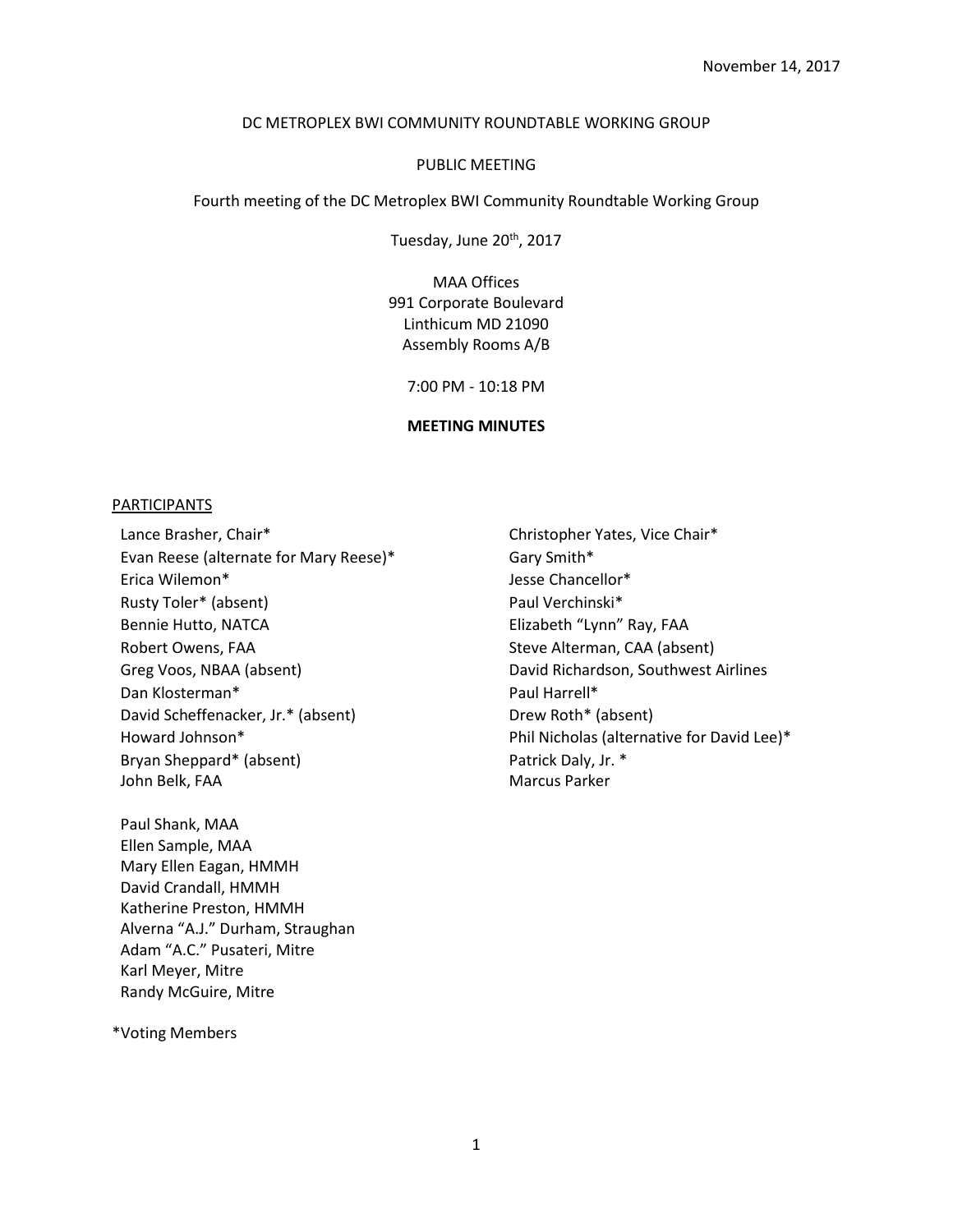#### DC METROPLEX BWI COMMUNITY ROUNDTABLE WORKING GROUP

#### PUBLIC MEETING

Fourth meeting of the DC Metroplex BWI Community Roundtable Working Group

Tuesday, June 20<sup>th</sup>, 2017

MAA Offices 991 Corporate Boulevard Linthicum MD 21090 Assembly Rooms A/B

7:00 PM - 10:18 PM

#### **MEETING MINUTES**

#### **PARTICIPANTS**

Evan Reese (alternate for Mary Reese)\* Gary Smith\* Erica Wilemon\* Jesse Chancellor\* Rusty Toler\* (absent) Paul Verchinski\* Bennie Hutto, NATCA **Elizabeth "Lynn" Ray, FAA** Robert Owens, FAA Steve Alterman, CAA (absent) Greg Voos, NBAA (absent) The Controller of David Richardson, Southwest Airlines Dan Klosterman\* Paul Harrell\* David Scheffenacker, Jr.\* (absent) Drew Roth\* (absent) Bryan Sheppard\* (absent) John Belk, FAA

Paul Shank, MAA Ellen Sample, MAA Mary Ellen Eagan, HMMH David Crandall, HMMH Katherine Preston, HMMH Alverna "A.J." Durham, Straughan Adam "A.C." Pusateri, Mitre Karl Meyer, Mitre Randy McGuire, Mitre

Lance Brasher, Chair\* The Christopher Yates, Vice Chair\* Howard Johnson\* Phil Nicholas (alternative for David Lee)\* Patrick Daly, Jr. \* Marcus Parker

\*Voting Members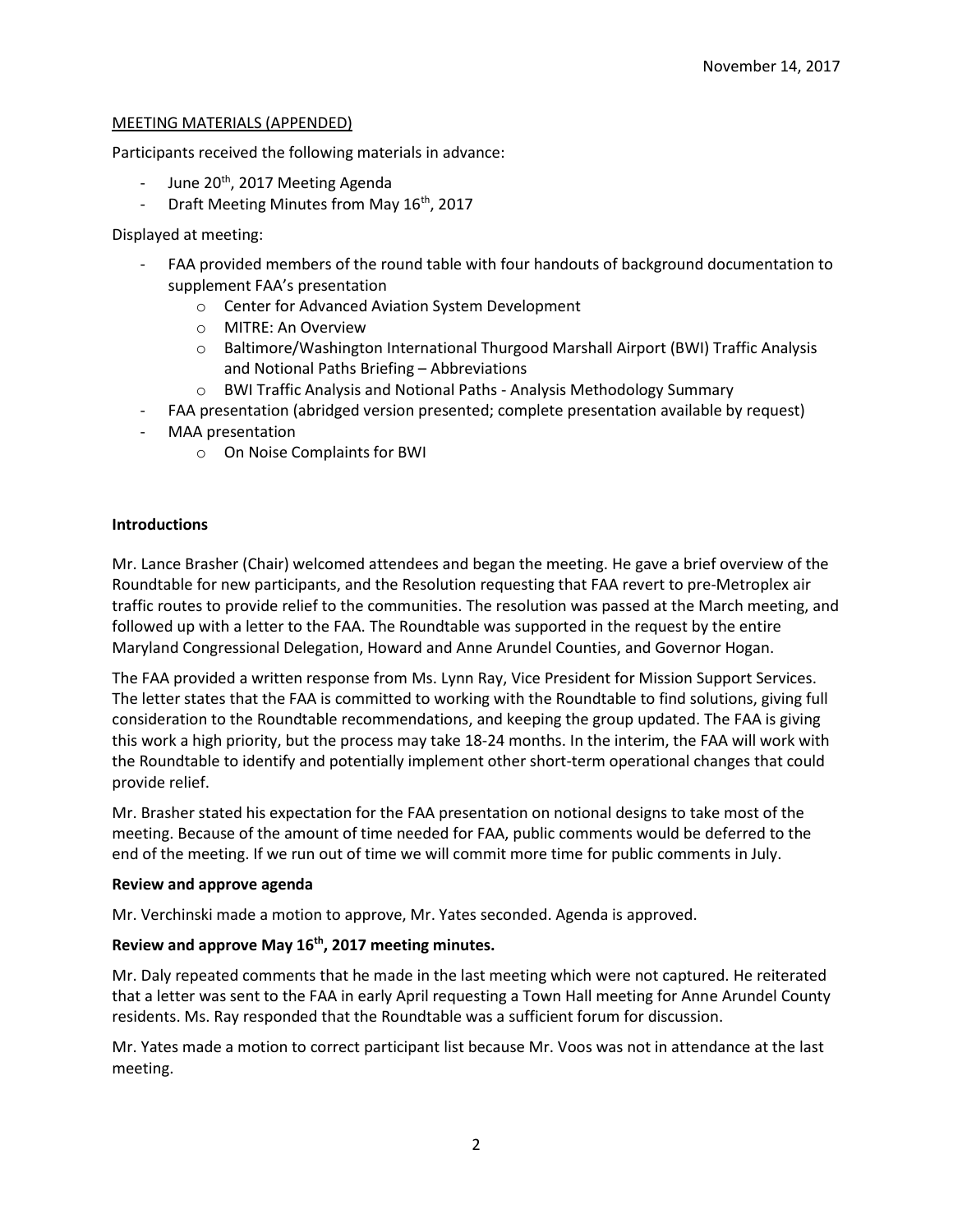# MEETING MATERIALS (APPENDED)

Participants received the following materials in advance:

- June 20<sup>th</sup>, 2017 Meeting Agenda
- Draft Meeting Minutes from May 16<sup>th</sup>, 2017

Displayed at meeting:

- FAA provided members of the round table with four handouts of background documentation to supplement FAA's presentation
	- o Center for Advanced Aviation System Development
	- o MITRE: An Overview
	- o Baltimore/Washington International Thurgood Marshall Airport (BWI) Traffic Analysis and Notional Paths Briefing – Abbreviations
	- o BWI Traffic Analysis and Notional Paths Analysis Methodology Summary
- FAA presentation (abridged version presented; complete presentation available by request)
- MAA presentation
	- o On Noise Complaints for BWI

# **Introductions**

Mr. Lance Brasher (Chair) welcomed attendees and began the meeting. He gave a brief overview of the Roundtable for new participants, and the Resolution requesting that FAA revert to pre-Metroplex air traffic routes to provide relief to the communities. The resolution was passed at the March meeting, and followed up with a letter to the FAA. The Roundtable was supported in the request by the entire Maryland Congressional Delegation, Howard and Anne Arundel Counties, and Governor Hogan.

The FAA provided a written response from Ms. Lynn Ray, Vice President for Mission Support Services. The letter states that the FAA is committed to working with the Roundtable to find solutions, giving full consideration to the Roundtable recommendations, and keeping the group updated. The FAA is giving this work a high priority, but the process may take 18-24 months. In the interim, the FAA will work with the Roundtable to identify and potentially implement other short-term operational changes that could provide relief.

Mr. Brasher stated his expectation for the FAA presentation on notional designs to take most of the meeting. Because of the amount of time needed for FAA, public comments would be deferred to the end of the meeting. If we run out of time we will commit more time for public comments in July.

# **Review and approve agenda**

Mr. Verchinski made a motion to approve, Mr. Yates seconded. Agenda is approved.

# **Review and approve May 16th, 2017 meeting minutes.**

Mr. Daly repeated comments that he made in the last meeting which were not captured. He reiterated that a letter was sent to the FAA in early April requesting a Town Hall meeting for Anne Arundel County residents. Ms. Ray responded that the Roundtable was a sufficient forum for discussion.

Mr. Yates made a motion to correct participant list because Mr. Voos was not in attendance at the last meeting.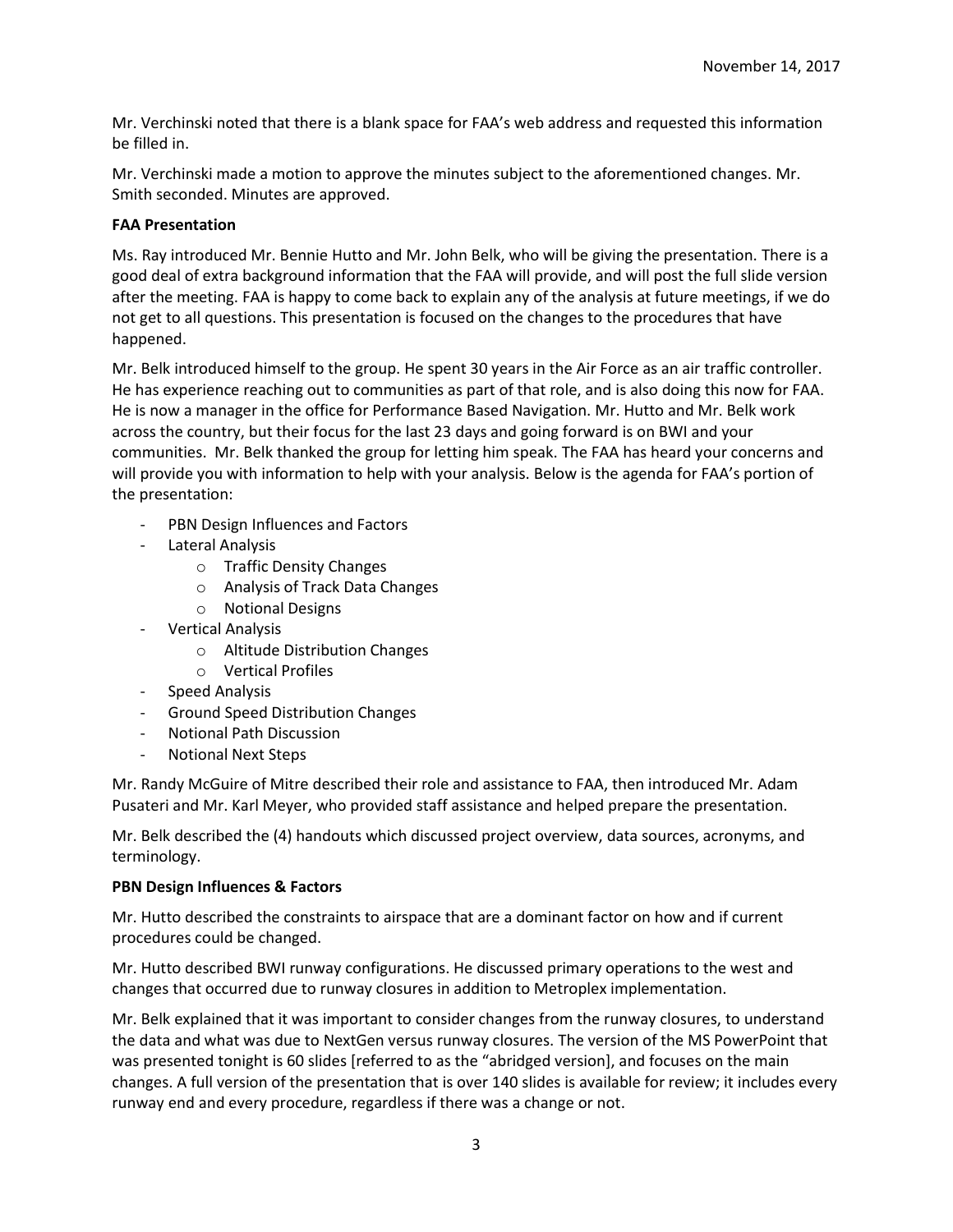Mr. Verchinski noted that there is a blank space for FAA's web address and requested this information be filled in.

Mr. Verchinski made a motion to approve the minutes subject to the aforementioned changes. Mr. Smith seconded. Minutes are approved.

# **FAA Presentation**

Ms. Ray introduced Mr. Bennie Hutto and Mr. John Belk, who will be giving the presentation. There is a good deal of extra background information that the FAA will provide, and will post the full slide version after the meeting. FAA is happy to come back to explain any of the analysis at future meetings, if we do not get to all questions. This presentation is focused on the changes to the procedures that have happened.

Mr. Belk introduced himself to the group. He spent 30 years in the Air Force as an air traffic controller. He has experience reaching out to communities as part of that role, and is also doing this now for FAA. He is now a manager in the office for Performance Based Navigation. Mr. Hutto and Mr. Belk work across the country, but their focus for the last 23 days and going forward is on BWI and your communities. Mr. Belk thanked the group for letting him speak. The FAA has heard your concerns and will provide you with information to help with your analysis. Below is the agenda for FAA's portion of the presentation:

- PBN Design Influences and Factors
- Lateral Analysis
	- o Traffic Density Changes
	- o Analysis of Track Data Changes
	- o Notional Designs
- Vertical Analysis
	- o Altitude Distribution Changes
	- o Vertical Profiles
- Speed Analysis
- Ground Speed Distribution Changes
- Notional Path Discussion
- Notional Next Steps

Mr. Randy McGuire of Mitre described their role and assistance to FAA, then introduced Mr. Adam Pusateri and Mr. Karl Meyer, who provided staff assistance and helped prepare the presentation.

Mr. Belk described the (4) handouts which discussed project overview, data sources, acronyms, and terminology.

# **PBN Design Influences & Factors**

Mr. Hutto described the constraints to airspace that are a dominant factor on how and if current procedures could be changed.

Mr. Hutto described BWI runway configurations. He discussed primary operations to the west and changes that occurred due to runway closures in addition to Metroplex implementation.

Mr. Belk explained that it was important to consider changes from the runway closures, to understand the data and what was due to NextGen versus runway closures. The version of the MS PowerPoint that was presented tonight is 60 slides [referred to as the "abridged version], and focuses on the main changes. A full version of the presentation that is over 140 slides is available for review; it includes every runway end and every procedure, regardless if there was a change or not.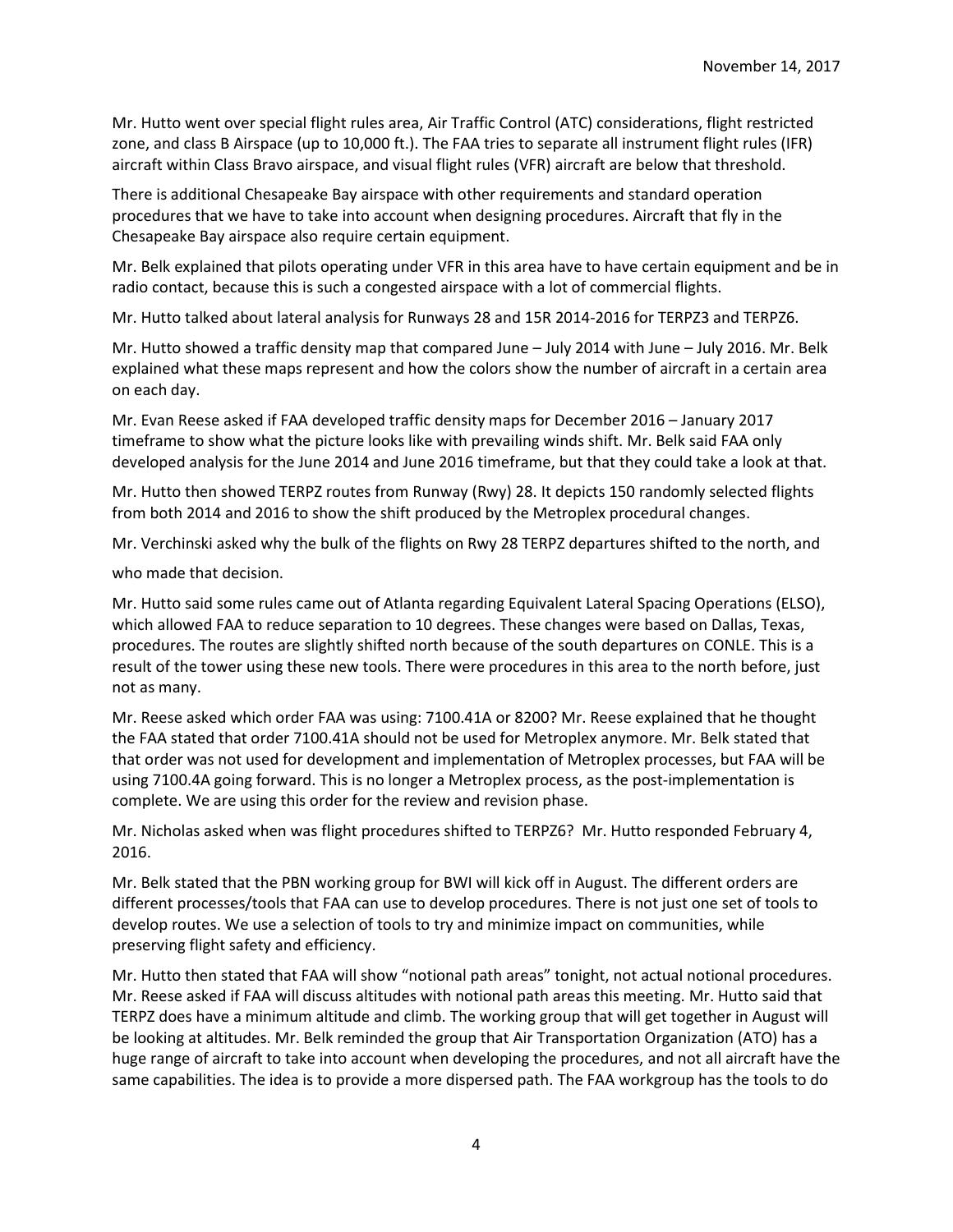Mr. Hutto went over special flight rules area, Air Traffic Control (ATC) considerations, flight restricted zone, and class B Airspace (up to 10,000 ft.). The FAA tries to separate all instrument flight rules (IFR) aircraft within Class Bravo airspace, and visual flight rules (VFR) aircraft are below that threshold.

There is additional Chesapeake Bay airspace with other requirements and standard operation procedures that we have to take into account when designing procedures. Aircraft that fly in the Chesapeake Bay airspace also require certain equipment.

Mr. Belk explained that pilots operating under VFR in this area have to have certain equipment and be in radio contact, because this is such a congested airspace with a lot of commercial flights.

Mr. Hutto talked about lateral analysis for Runways 28 and 15R 2014-2016 for TERPZ3 and TERPZ6.

Mr. Hutto showed a traffic density map that compared June – July 2014 with June – July 2016. Mr. Belk explained what these maps represent and how the colors show the number of aircraft in a certain area on each day.

Mr. Evan Reese asked if FAA developed traffic density maps for December 2016 – January 2017 timeframe to show what the picture looks like with prevailing winds shift. Mr. Belk said FAA only developed analysis for the June 2014 and June 2016 timeframe, but that they could take a look at that.

Mr. Hutto then showed TERPZ routes from Runway (Rwy) 28. It depicts 150 randomly selected flights from both 2014 and 2016 to show the shift produced by the Metroplex procedural changes.

Mr. Verchinski asked why the bulk of the flights on Rwy 28 TERPZ departures shifted to the north, and

who made that decision.

Mr. Hutto said some rules came out of Atlanta regarding Equivalent Lateral Spacing Operations (ELSO), which allowed FAA to reduce separation to 10 degrees. These changes were based on Dallas, Texas, procedures. The routes are slightly shifted north because of the south departures on CONLE. This is a result of the tower using these new tools. There were procedures in this area to the north before, just not as many.

Mr. Reese asked which order FAA was using: 7100.41A or 8200? Mr. Reese explained that he thought the FAA stated that order 7100.41A should not be used for Metroplex anymore. Mr. Belk stated that that order was not used for development and implementation of Metroplex processes, but FAA will be using 7100.4A going forward. This is no longer a Metroplex process, as the post-implementation is complete. We are using this order for the review and revision phase.

Mr. Nicholas asked when was flight procedures shifted to TERPZ6? Mr. Hutto responded February 4, 2016.

Mr. Belk stated that the PBN working group for BWI will kick off in August. The different orders are different processes/tools that FAA can use to develop procedures. There is not just one set of tools to develop routes. We use a selection of tools to try and minimize impact on communities, while preserving flight safety and efficiency.

Mr. Hutto then stated that FAA will show "notional path areas" tonight, not actual notional procedures. Mr. Reese asked if FAA will discuss altitudes with notional path areas this meeting. Mr. Hutto said that TERPZ does have a minimum altitude and climb. The working group that will get together in August will be looking at altitudes. Mr. Belk reminded the group that Air Transportation Organization (ATO) has a huge range of aircraft to take into account when developing the procedures, and not all aircraft have the same capabilities. The idea is to provide a more dispersed path. The FAA workgroup has the tools to do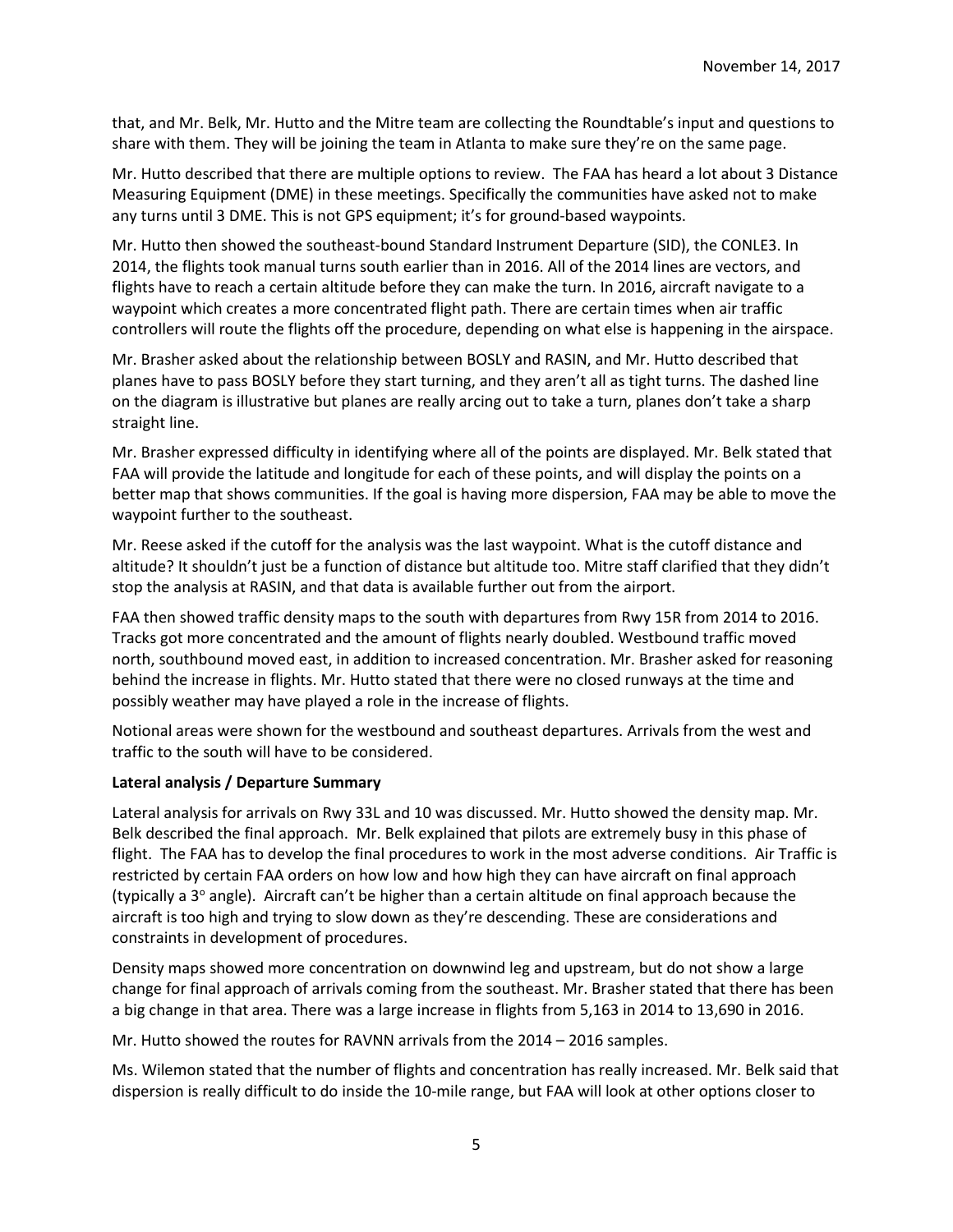that, and Mr. Belk, Mr. Hutto and the Mitre team are collecting the Roundtable's input and questions to share with them. They will be joining the team in Atlanta to make sure they're on the same page.

Mr. Hutto described that there are multiple options to review. The FAA has heard a lot about 3 Distance Measuring Equipment (DME) in these meetings. Specifically the communities have asked not to make any turns until 3 DME. This is not GPS equipment; it's for ground-based waypoints.

Mr. Hutto then showed the southeast-bound Standard Instrument Departure (SID), the CONLE3. In 2014, the flights took manual turns south earlier than in 2016. All of the 2014 lines are vectors, and flights have to reach a certain altitude before they can make the turn. In 2016, aircraft navigate to a waypoint which creates a more concentrated flight path. There are certain times when air traffic controllers will route the flights off the procedure, depending on what else is happening in the airspace.

Mr. Brasher asked about the relationship between BOSLY and RASIN, and Mr. Hutto described that planes have to pass BOSLY before they start turning, and they aren't all as tight turns. The dashed line on the diagram is illustrative but planes are really arcing out to take a turn, planes don't take a sharp straight line.

Mr. Brasher expressed difficulty in identifying where all of the points are displayed. Mr. Belk stated that FAA will provide the latitude and longitude for each of these points, and will display the points on a better map that shows communities. If the goal is having more dispersion, FAA may be able to move the waypoint further to the southeast.

Mr. Reese asked if the cutoff for the analysis was the last waypoint. What is the cutoff distance and altitude? It shouldn't just be a function of distance but altitude too. Mitre staff clarified that they didn't stop the analysis at RASIN, and that data is available further out from the airport.

FAA then showed traffic density maps to the south with departures from Rwy 15R from 2014 to 2016. Tracks got more concentrated and the amount of flights nearly doubled. Westbound traffic moved north, southbound moved east, in addition to increased concentration. Mr. Brasher asked for reasoning behind the increase in flights. Mr. Hutto stated that there were no closed runways at the time and possibly weather may have played a role in the increase of flights.

Notional areas were shown for the westbound and southeast departures. Arrivals from the west and traffic to the south will have to be considered.

# **Lateral analysis / Departure Summary**

Lateral analysis for arrivals on Rwy 33L and 10 was discussed. Mr. Hutto showed the density map. Mr. Belk described the final approach. Mr. Belk explained that pilots are extremely busy in this phase of flight. The FAA has to develop the final procedures to work in the most adverse conditions. Air Traffic is restricted by certain FAA orders on how low and how high they can have aircraft on final approach (typically a  $3^\circ$  angle). Aircraft can't be higher than a certain altitude on final approach because the aircraft is too high and trying to slow down as they're descending. These are considerations and constraints in development of procedures.

Density maps showed more concentration on downwind leg and upstream, but do not show a large change for final approach of arrivals coming from the southeast. Mr. Brasher stated that there has been a big change in that area. There was a large increase in flights from 5,163 in 2014 to 13,690 in 2016.

Mr. Hutto showed the routes for RAVNN arrivals from the 2014 – 2016 samples.

Ms. Wilemon stated that the number of flights and concentration has really increased. Mr. Belk said that dispersion is really difficult to do inside the 10-mile range, but FAA will look at other options closer to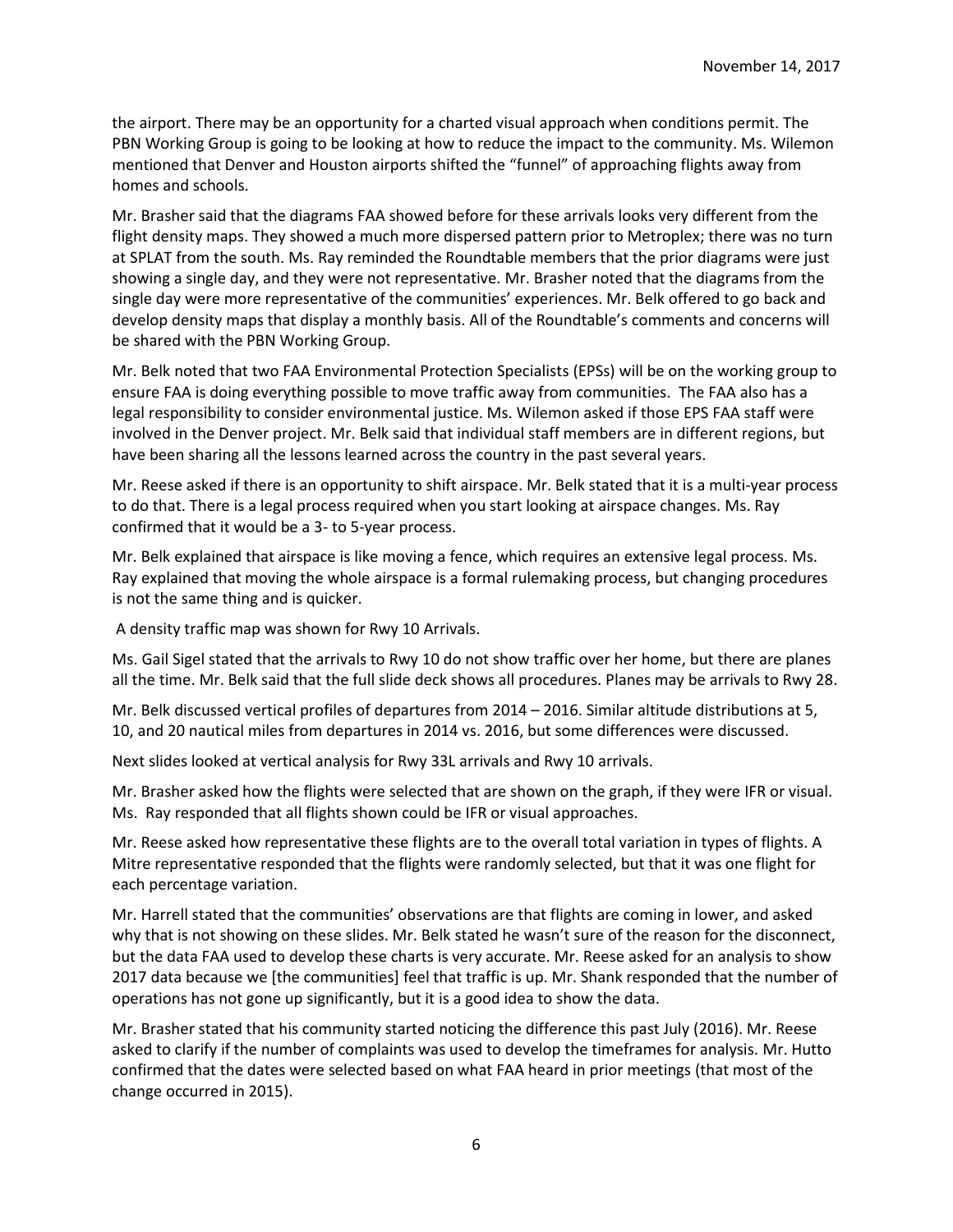the airport. There may be an opportunity for a charted visual approach when conditions permit. The PBN Working Group is going to be looking at how to reduce the impact to the community. Ms. Wilemon mentioned that Denver and Houston airports shifted the "funnel" of approaching flights away from homes and schools.

Mr. Brasher said that the diagrams FAA showed before for these arrivals looks very different from the flight density maps. They showed a much more dispersed pattern prior to Metroplex; there was no turn at SPLAT from the south. Ms. Ray reminded the Roundtable members that the prior diagrams were just showing a single day, and they were not representative. Mr. Brasher noted that the diagrams from the single day were more representative of the communities' experiences. Mr. Belk offered to go back and develop density maps that display a monthly basis. All of the Roundtable's comments and concerns will be shared with the PBN Working Group.

Mr. Belk noted that two FAA Environmental Protection Specialists (EPSs) will be on the working group to ensure FAA is doing everything possible to move traffic away from communities. The FAA also has a legal responsibility to consider environmental justice. Ms. Wilemon asked if those EPS FAA staff were involved in the Denver project. Mr. Belk said that individual staff members are in different regions, but have been sharing all the lessons learned across the country in the past several years.

Mr. Reese asked if there is an opportunity to shift airspace. Mr. Belk stated that it is a multi-year process to do that. There is a legal process required when you start looking at airspace changes. Ms. Ray confirmed that it would be a 3- to 5-year process.

Mr. Belk explained that airspace is like moving a fence, which requires an extensive legal process. Ms. Ray explained that moving the whole airspace is a formal rulemaking process, but changing procedures is not the same thing and is quicker.

A density traffic map was shown for Rwy 10 Arrivals.

Ms. Gail Sigel stated that the arrivals to Rwy 10 do not show traffic over her home, but there are planes all the time. Mr. Belk said that the full slide deck shows all procedures. Planes may be arrivals to Rwy 28.

Mr. Belk discussed vertical profiles of departures from 2014 – 2016. Similar altitude distributions at 5, 10, and 20 nautical miles from departures in 2014 vs. 2016, but some differences were discussed.

Next slides looked at vertical analysis for Rwy 33L arrivals and Rwy 10 arrivals.

Mr. Brasher asked how the flights were selected that are shown on the graph, if they were IFR or visual. Ms. Ray responded that all flights shown could be IFR or visual approaches.

Mr. Reese asked how representative these flights are to the overall total variation in types of flights. A Mitre representative responded that the flights were randomly selected, but that it was one flight for each percentage variation.

Mr. Harrell stated that the communities' observations are that flights are coming in lower, and asked why that is not showing on these slides. Mr. Belk stated he wasn't sure of the reason for the disconnect, but the data FAA used to develop these charts is very accurate. Mr. Reese asked for an analysis to show 2017 data because we [the communities] feel that traffic is up. Mr. Shank responded that the number of operations has not gone up significantly, but it is a good idea to show the data.

Mr. Brasher stated that his community started noticing the difference this past July (2016). Mr. Reese asked to clarify if the number of complaints was used to develop the timeframes for analysis. Mr. Hutto confirmed that the dates were selected based on what FAA heard in prior meetings (that most of the change occurred in 2015).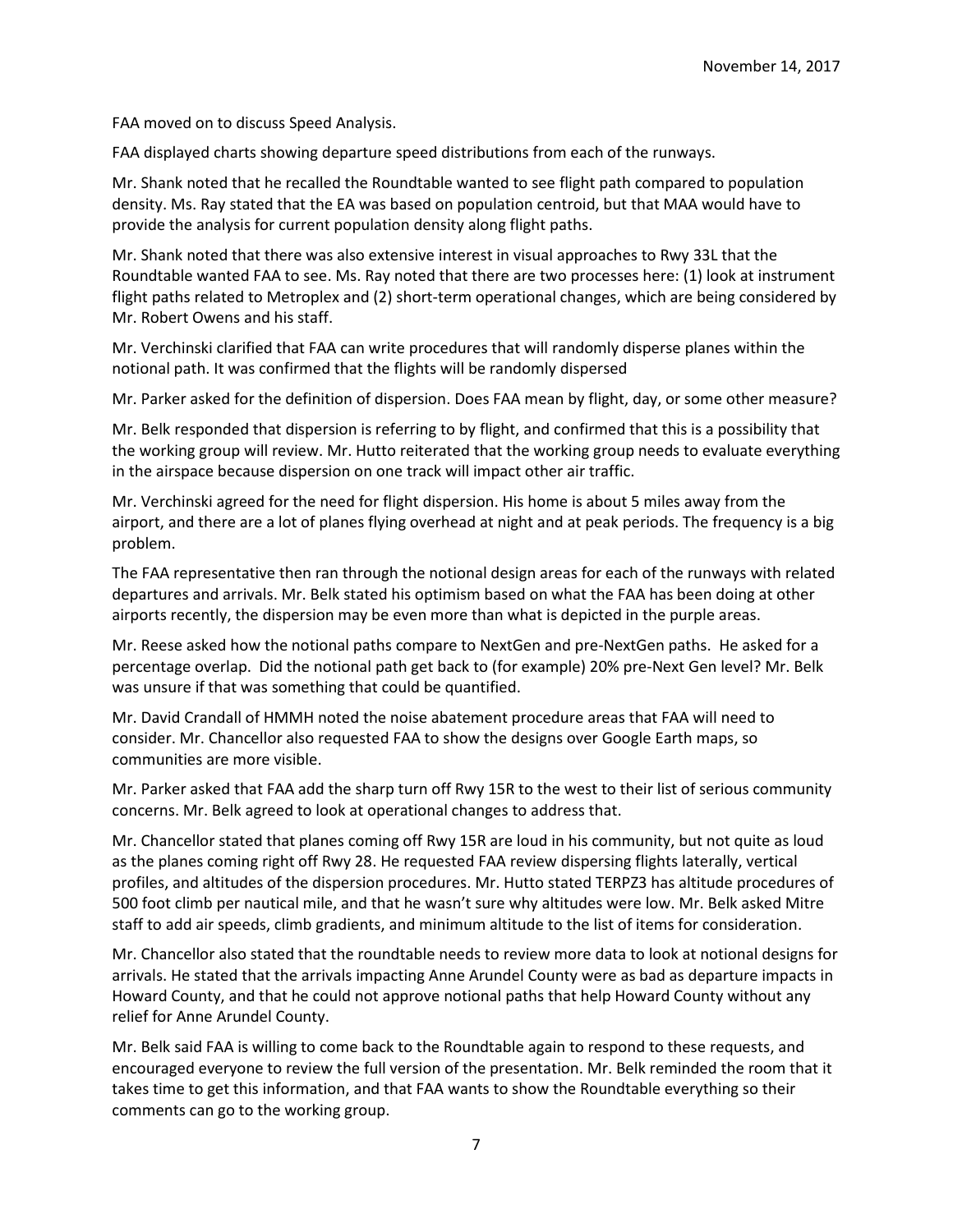FAA moved on to discuss Speed Analysis.

FAA displayed charts showing departure speed distributions from each of the runways.

Mr. Shank noted that he recalled the Roundtable wanted to see flight path compared to population density. Ms. Ray stated that the EA was based on population centroid, but that MAA would have to provide the analysis for current population density along flight paths.

Mr. Shank noted that there was also extensive interest in visual approaches to Rwy 33L that the Roundtable wanted FAA to see. Ms. Ray noted that there are two processes here: (1) look at instrument flight paths related to Metroplex and (2) short-term operational changes, which are being considered by Mr. Robert Owens and his staff.

Mr. Verchinski clarified that FAA can write procedures that will randomly disperse planes within the notional path. It was confirmed that the flights will be randomly dispersed

Mr. Parker asked for the definition of dispersion. Does FAA mean by flight, day, or some other measure?

Mr. Belk responded that dispersion is referring to by flight, and confirmed that this is a possibility that the working group will review. Mr. Hutto reiterated that the working group needs to evaluate everything in the airspace because dispersion on one track will impact other air traffic.

Mr. Verchinski agreed for the need for flight dispersion. His home is about 5 miles away from the airport, and there are a lot of planes flying overhead at night and at peak periods. The frequency is a big problem.

The FAA representative then ran through the notional design areas for each of the runways with related departures and arrivals. Mr. Belk stated his optimism based on what the FAA has been doing at other airports recently, the dispersion may be even more than what is depicted in the purple areas.

Mr. Reese asked how the notional paths compare to NextGen and pre-NextGen paths. He asked for a percentage overlap. Did the notional path get back to (for example) 20% pre-Next Gen level? Mr. Belk was unsure if that was something that could be quantified.

Mr. David Crandall of HMMH noted the noise abatement procedure areas that FAA will need to consider. Mr. Chancellor also requested FAA to show the designs over Google Earth maps, so communities are more visible.

Mr. Parker asked that FAA add the sharp turn off Rwy 15R to the west to their list of serious community concerns. Mr. Belk agreed to look at operational changes to address that.

Mr. Chancellor stated that planes coming off Rwy 15R are loud in his community, but not quite as loud as the planes coming right off Rwy 28. He requested FAA review dispersing flights laterally, vertical profiles, and altitudes of the dispersion procedures. Mr. Hutto stated TERPZ3 has altitude procedures of 500 foot climb per nautical mile, and that he wasn't sure why altitudes were low. Mr. Belk asked Mitre staff to add air speeds, climb gradients, and minimum altitude to the list of items for consideration.

Mr. Chancellor also stated that the roundtable needs to review more data to look at notional designs for arrivals. He stated that the arrivals impacting Anne Arundel County were as bad as departure impacts in Howard County, and that he could not approve notional paths that help Howard County without any relief for Anne Arundel County.

Mr. Belk said FAA is willing to come back to the Roundtable again to respond to these requests, and encouraged everyone to review the full version of the presentation. Mr. Belk reminded the room that it takes time to get this information, and that FAA wants to show the Roundtable everything so their comments can go to the working group.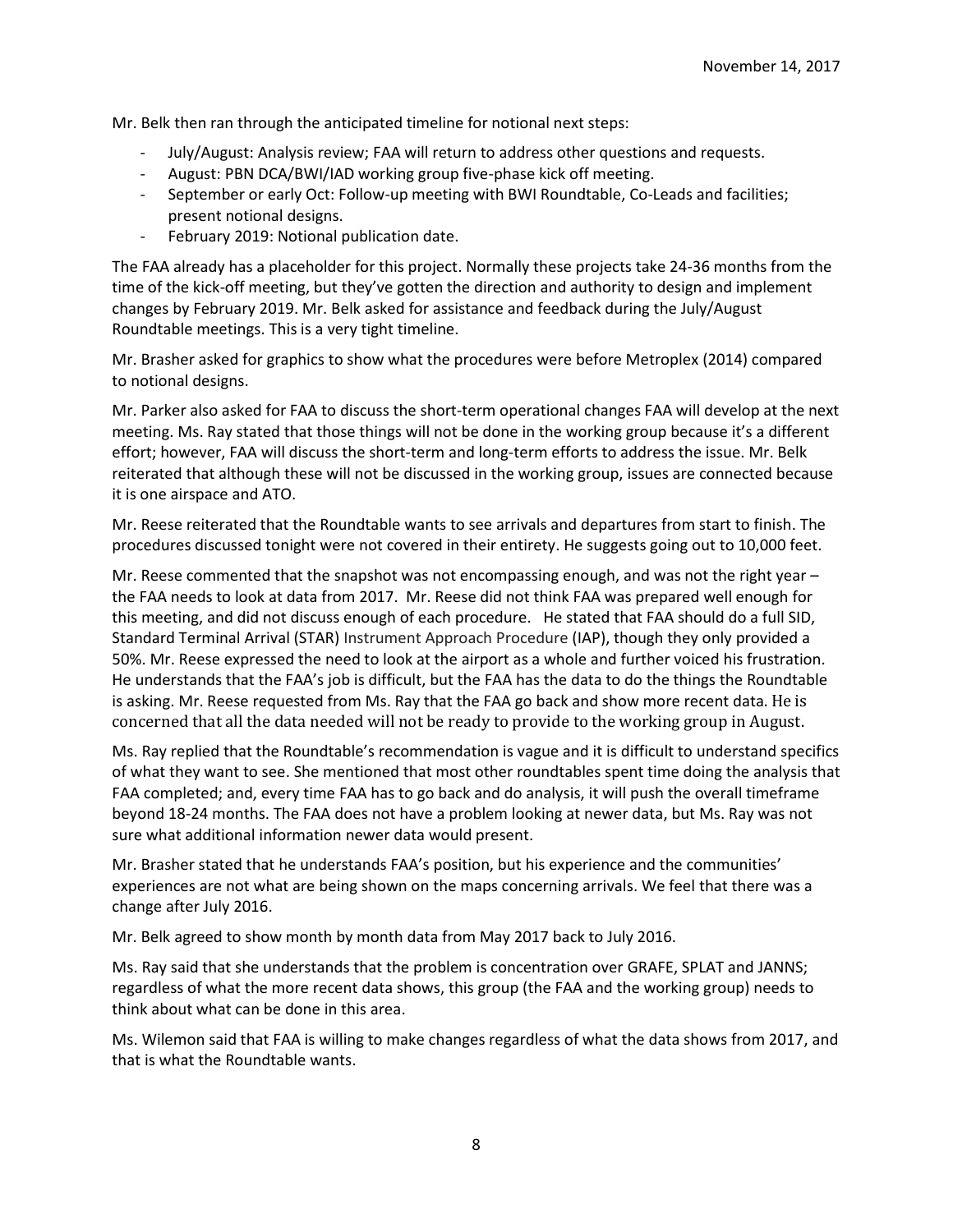Mr. Belk then ran through the anticipated timeline for notional next steps:

- July/August: Analysis review; FAA will return to address other questions and requests.
- August: PBN DCA/BWI/IAD working group five-phase kick off meeting.
- September or early Oct: Follow-up meeting with BWI Roundtable, Co-Leads and facilities; present notional designs.
- February 2019: Notional publication date.

The FAA already has a placeholder for this project. Normally these projects take 24-36 months from the time of the kick-off meeting, but they've gotten the direction and authority to design and implement changes by February 2019. Mr. Belk asked for assistance and feedback during the July/August Roundtable meetings. This is a very tight timeline.

Mr. Brasher asked for graphics to show what the procedures were before Metroplex (2014) compared to notional designs.

Mr. Parker also asked for FAA to discuss the short-term operational changes FAA will develop at the next meeting. Ms. Ray stated that those things will not be done in the working group because it's a different effort; however, FAA will discuss the short-term and long-term efforts to address the issue. Mr. Belk reiterated that although these will not be discussed in the working group, issues are connected because it is one airspace and ATO.

Mr. Reese reiterated that the Roundtable wants to see arrivals and departures from start to finish. The procedures discussed tonight were not covered in their entirety. He suggests going out to 10,000 feet.

Mr. Reese commented that the snapshot was not encompassing enough, and was not the right year – the FAA needs to look at data from 2017. Mr. Reese did not think FAA was prepared well enough for this meeting, and did not discuss enough of each procedure. He stated that FAA should do a full SID, Standard Terminal Arrival (STAR) Instrument Approach Procedure (IAP), though they only provided a 50%. Mr. Reese expressed the need to look at the airport as a whole and further voiced his frustration. He understands that the FAA's job is difficult, but the FAA has the data to do the things the Roundtable is asking. Mr. Reese requested from Ms. Ray that the FAA go back and show more recent data. He is concerned that all the data needed will not be ready to provide to the working group in August.

Ms. Ray replied that the Roundtable's recommendation is vague and it is difficult to understand specifics of what they want to see. She mentioned that most other roundtables spent time doing the analysis that FAA completed; and, every time FAA has to go back and do analysis, it will push the overall timeframe beyond 18-24 months. The FAA does not have a problem looking at newer data, but Ms. Ray was not sure what additional information newer data would present.

Mr. Brasher stated that he understands FAA's position, but his experience and the communities' experiences are not what are being shown on the maps concerning arrivals. We feel that there was a change after July 2016.

Mr. Belk agreed to show month by month data from May 2017 back to July 2016.

Ms. Ray said that she understands that the problem is concentration over GRAFE, SPLAT and JANNS; regardless of what the more recent data shows, this group (the FAA and the working group) needs to think about what can be done in this area.

Ms. Wilemon said that FAA is willing to make changes regardless of what the data shows from 2017, and that is what the Roundtable wants.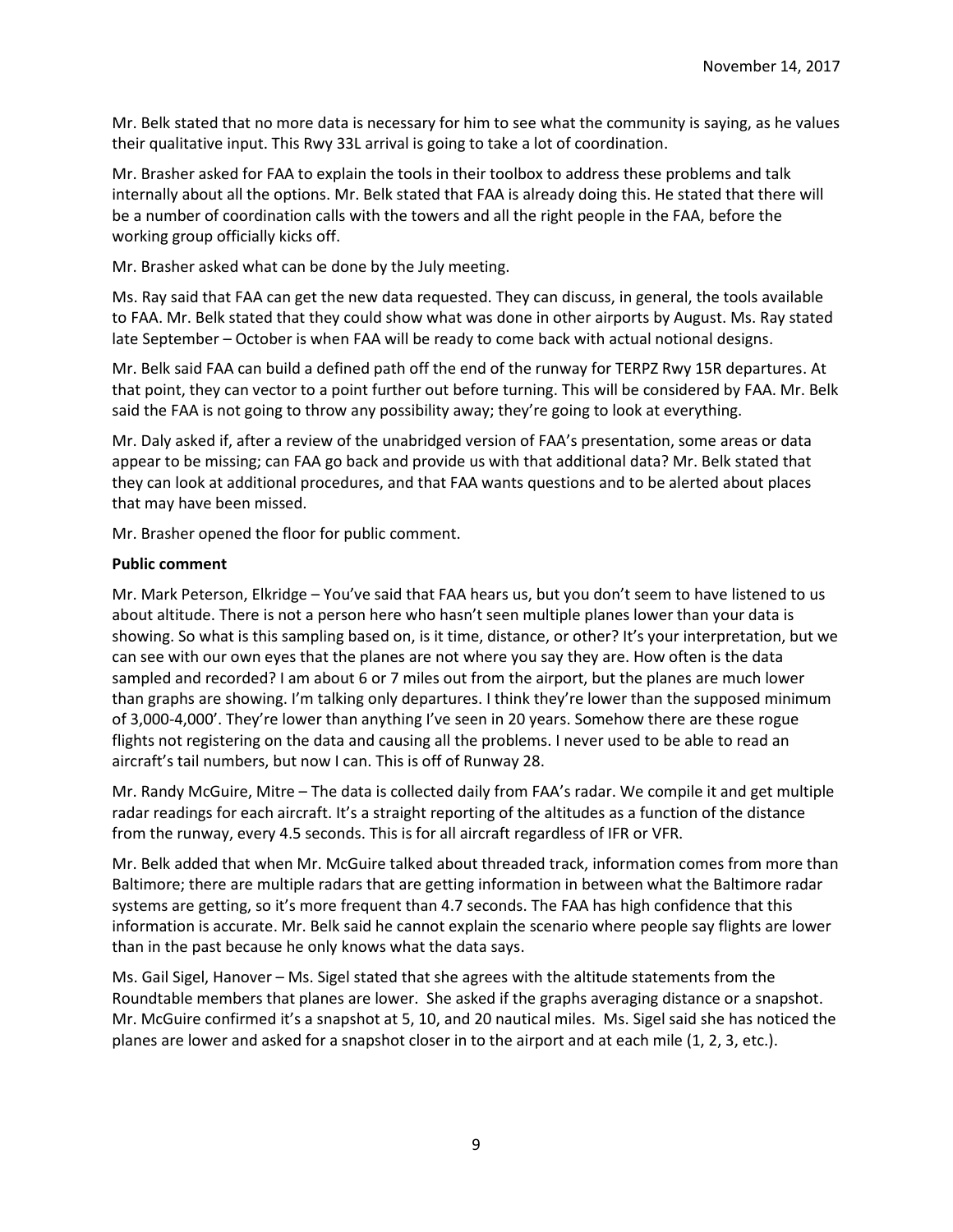Mr. Belk stated that no more data is necessary for him to see what the community is saying, as he values their qualitative input. This Rwy 33L arrival is going to take a lot of coordination.

Mr. Brasher asked for FAA to explain the tools in their toolbox to address these problems and talk internally about all the options. Mr. Belk stated that FAA is already doing this. He stated that there will be a number of coordination calls with the towers and all the right people in the FAA, before the working group officially kicks off.

Mr. Brasher asked what can be done by the July meeting.

Ms. Ray said that FAA can get the new data requested. They can discuss, in general, the tools available to FAA. Mr. Belk stated that they could show what was done in other airports by August. Ms. Ray stated late September – October is when FAA will be ready to come back with actual notional designs.

Mr. Belk said FAA can build a defined path off the end of the runway for TERPZ Rwy 15R departures. At that point, they can vector to a point further out before turning. This will be considered by FAA. Mr. Belk said the FAA is not going to throw any possibility away; they're going to look at everything.

Mr. Daly asked if, after a review of the unabridged version of FAA's presentation, some areas or data appear to be missing; can FAA go back and provide us with that additional data? Mr. Belk stated that they can look at additional procedures, and that FAA wants questions and to be alerted about places that may have been missed.

Mr. Brasher opened the floor for public comment.

# **Public comment**

Mr. Mark Peterson, Elkridge – You've said that FAA hears us, but you don't seem to have listened to us about altitude. There is not a person here who hasn't seen multiple planes lower than your data is showing. So what is this sampling based on, is it time, distance, or other? It's your interpretation, but we can see with our own eyes that the planes are not where you say they are. How often is the data sampled and recorded? I am about 6 or 7 miles out from the airport, but the planes are much lower than graphs are showing. I'm talking only departures. I think they're lower than the supposed minimum of 3,000-4,000'. They're lower than anything I've seen in 20 years. Somehow there are these rogue flights not registering on the data and causing all the problems. I never used to be able to read an aircraft's tail numbers, but now I can. This is off of Runway 28.

Mr. Randy McGuire, Mitre – The data is collected daily from FAA's radar. We compile it and get multiple radar readings for each aircraft. It's a straight reporting of the altitudes as a function of the distance from the runway, every 4.5 seconds. This is for all aircraft regardless of IFR or VFR.

Mr. Belk added that when Mr. McGuire talked about threaded track, information comes from more than Baltimore; there are multiple radars that are getting information in between what the Baltimore radar systems are getting, so it's more frequent than 4.7 seconds. The FAA has high confidence that this information is accurate. Mr. Belk said he cannot explain the scenario where people say flights are lower than in the past because he only knows what the data says.

Ms. Gail Sigel, Hanover – Ms. Sigel stated that she agrees with the altitude statements from the Roundtable members that planes are lower. She asked if the graphs averaging distance or a snapshot. Mr. McGuire confirmed it's a snapshot at 5, 10, and 20 nautical miles. Ms. Sigel said she has noticed the planes are lower and asked for a snapshot closer in to the airport and at each mile (1, 2, 3, etc.).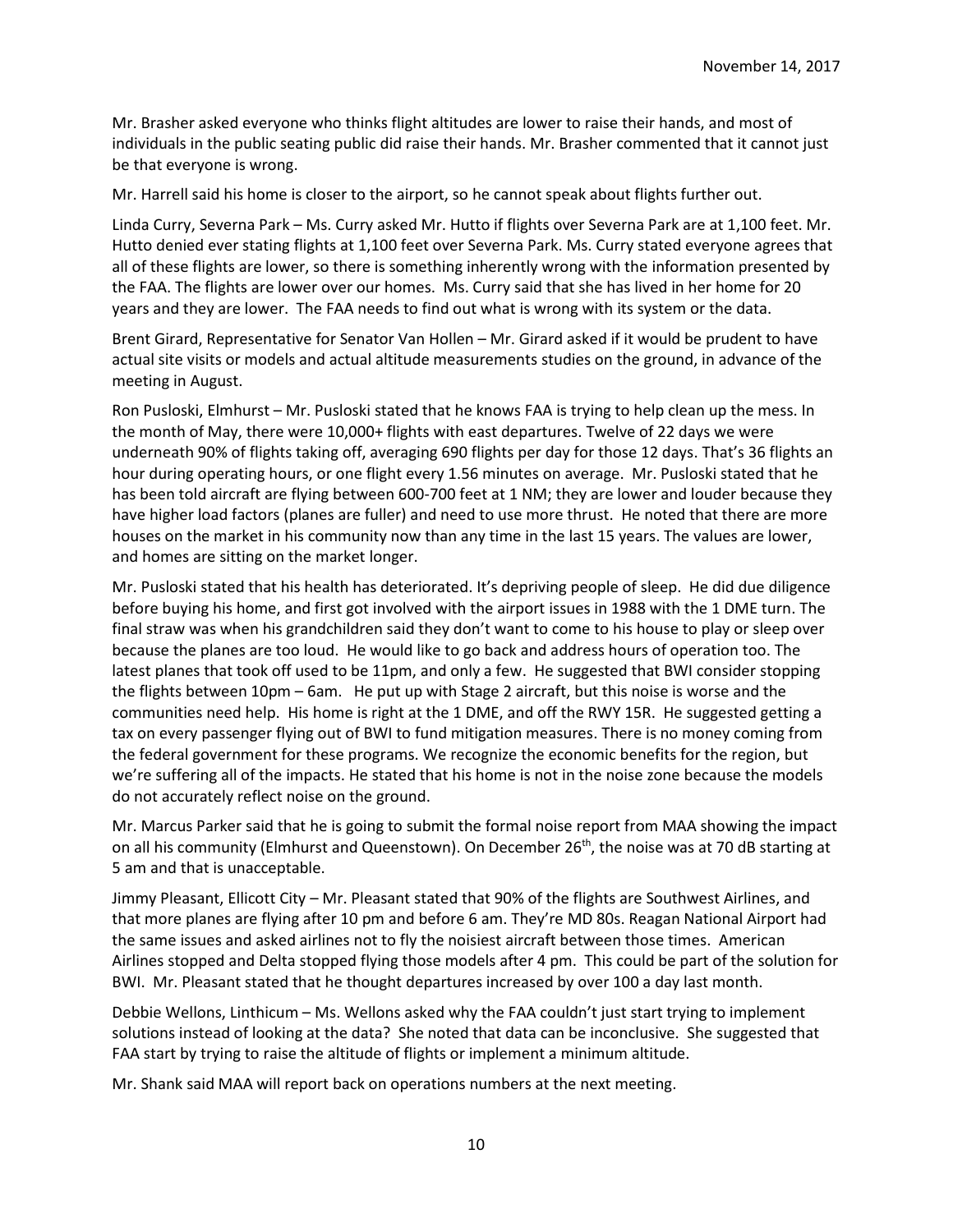Mr. Brasher asked everyone who thinks flight altitudes are lower to raise their hands, and most of individuals in the public seating public did raise their hands. Mr. Brasher commented that it cannot just be that everyone is wrong.

Mr. Harrell said his home is closer to the airport, so he cannot speak about flights further out.

Linda Curry, Severna Park – Ms. Curry asked Mr. Hutto if flights over Severna Park are at 1,100 feet. Mr. Hutto denied ever stating flights at 1,100 feet over Severna Park. Ms. Curry stated everyone agrees that all of these flights are lower, so there is something inherently wrong with the information presented by the FAA. The flights are lower over our homes. Ms. Curry said that she has lived in her home for 20 years and they are lower. The FAA needs to find out what is wrong with its system or the data.

Brent Girard, Representative for Senator Van Hollen – Mr. Girard asked if it would be prudent to have actual site visits or models and actual altitude measurements studies on the ground, in advance of the meeting in August.

Ron Pusloski, Elmhurst – Mr. Pusloski stated that he knows FAA is trying to help clean up the mess. In the month of May, there were 10,000+ flights with east departures. Twelve of 22 days we were underneath 90% of flights taking off, averaging 690 flights per day for those 12 days. That's 36 flights an hour during operating hours, or one flight every 1.56 minutes on average. Mr. Pusloski stated that he has been told aircraft are flying between 600-700 feet at 1 NM; they are lower and louder because they have higher load factors (planes are fuller) and need to use more thrust. He noted that there are more houses on the market in his community now than any time in the last 15 years. The values are lower, and homes are sitting on the market longer.

Mr. Pusloski stated that his health has deteriorated. It's depriving people of sleep. He did due diligence before buying his home, and first got involved with the airport issues in 1988 with the 1 DME turn. The final straw was when his grandchildren said they don't want to come to his house to play or sleep over because the planes are too loud. He would like to go back and address hours of operation too. The latest planes that took off used to be 11pm, and only a few. He suggested that BWI consider stopping the flights between 10pm – 6am. He put up with Stage 2 aircraft, but this noise is worse and the communities need help. His home is right at the 1 DME, and off the RWY 15R. He suggested getting a tax on every passenger flying out of BWI to fund mitigation measures. There is no money coming from the federal government for these programs. We recognize the economic benefits for the region, but we're suffering all of the impacts. He stated that his home is not in the noise zone because the models do not accurately reflect noise on the ground.

Mr. Marcus Parker said that he is going to submit the formal noise report from MAA showing the impact on all his community (Elmhurst and Queenstown). On December 26<sup>th</sup>, the noise was at 70 dB starting at 5 am and that is unacceptable.

Jimmy Pleasant, Ellicott City – Mr. Pleasant stated that 90% of the flights are Southwest Airlines, and that more planes are flying after 10 pm and before 6 am. They're MD 80s. Reagan National Airport had the same issues and asked airlines not to fly the noisiest aircraft between those times. American Airlines stopped and Delta stopped flying those models after 4 pm. This could be part of the solution for BWI. Mr. Pleasant stated that he thought departures increased by over 100 a day last month.

Debbie Wellons, Linthicum – Ms. Wellons asked why the FAA couldn't just start trying to implement solutions instead of looking at the data? She noted that data can be inconclusive. She suggested that FAA start by trying to raise the altitude of flights or implement a minimum altitude.

Mr. Shank said MAA will report back on operations numbers at the next meeting.